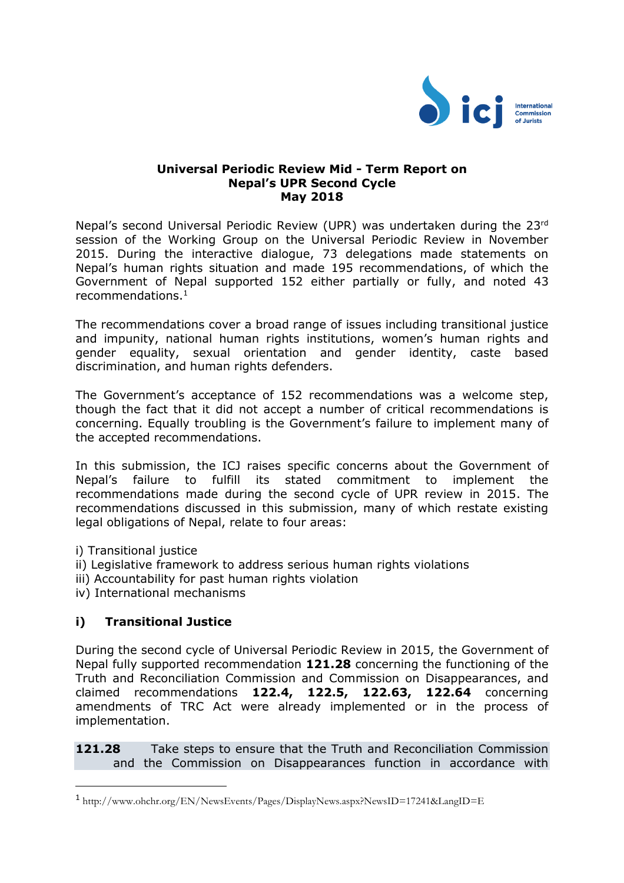

### **Universal Periodic Review Mid - Term Report on Nepal's UPR Second Cycle May 2018**

Nepal's second Universal Periodic Review (UPR) was undertaken during the 23rd session of the Working Group on the Universal Periodic Review in November 2015. During the interactive dialogue, 73 delegations made statements on Nepal's human rights situation and made 195 recommendations, of which the Government of Nepal supported 152 either partially or fully, and noted 43 recommendations.<sup>1</sup>

The recommendations cover a broad range of issues including transitional justice and impunity, national human rights institutions, women's human rights and gender equality, sexual orientation and gender identity, caste based discrimination, and human rights defenders.

The Government's acceptance of 152 recommendations was a welcome step, though the fact that it did not accept a number of critical recommendations is concerning. Equally troubling is the Government's failure to implement many of the accepted recommendations.

In this submission, the ICJ raises specific concerns about the Government of Nepal's failure to fulfill its stated commitment to implement the recommendations made during the second cycle of UPR review in 2015. The recommendations discussed in this submission, many of which restate existing legal obligations of Nepal, relate to four areas:

i) Transitional justice

 $\overline{a}$ 

- ii) Legislative framework to address serious human rights violations
- iii) Accountability for past human rights violation
- iv) International mechanisms

# **i) Transitional Justice**

During the second cycle of Universal Periodic Review in 2015, the Government of Nepal fully supported recommendation **121.28** concerning the functioning of the Truth and Reconciliation Commission and Commission on Disappearances, and claimed recommendations **122.4, 122.5, 122.63, 122.64** concerning amendments of TRC Act were already implemented or in the process of implementation.

**121.28** Take steps to ensure that the Truth and Reconciliation Commission and the Commission on Disappearances function in accordance with

<sup>1</sup> http://www.ohchr.org/EN/NewsEvents/Pages/DisplayNews.aspx?NewsID=17241&LangID=E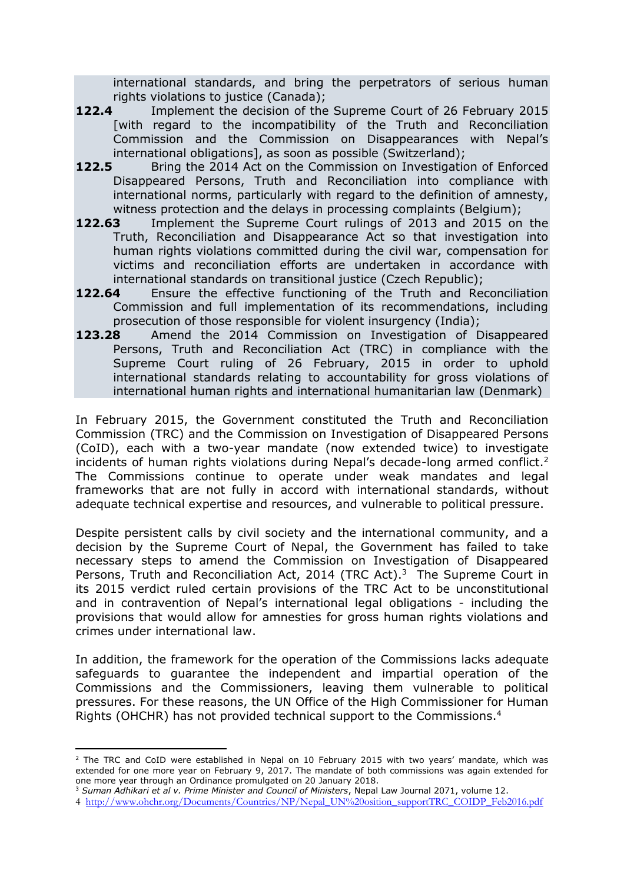international standards, and bring the perpetrators of serious human rights violations to justice (Canada);<br>122.4 Implement the decision of the

- **122.4** Implement the decision of the Supreme Court of 26 February 2015 [with regard to the incompatibility of the Truth and Reconciliation Commission and the Commission on Disappearances with Nepal's international obligations], as soon as possible (Switzerland);
- **122.5** Bring the 2014 Act on the Commission on Investigation of Enforced Disappeared Persons, Truth and Reconciliation into compliance with international norms, particularly with regard to the definition of amnesty, witness protection and the delays in processing complaints (Belgium);
- **122.63** Implement the Supreme Court rulings of 2013 and 2015 on the Truth, Reconciliation and Disappearance Act so that investigation into human rights violations committed during the civil war, compensation for victims and reconciliation efforts are undertaken in accordance with international standards on transitional justice (Czech Republic);
- **122.64** Ensure the effective functioning of the Truth and Reconciliation Commission and full implementation of its recommendations, including prosecution of those responsible for violent insurgency (India);
- **123.28** Amend the 2014 Commission on Investigation of Disappeared Persons, Truth and Reconciliation Act (TRC) in compliance with the Supreme Court ruling of 26 February, 2015 in order to uphold international standards relating to accountability for gross violations of international human rights and international humanitarian law (Denmark)

In February 2015, the Government constituted the Truth and Reconciliation Commission (TRC) and the Commission on Investigation of Disappeared Persons (CoID), each with a two-year mandate (now extended twice) to investigate incidents of human rights violations during Nepal's decade-long armed conflict.<sup>2</sup> The Commissions continue to operate under weak mandates and legal frameworks that are not fully in accord with international standards, without adequate technical expertise and resources, and vulnerable to political pressure.

Despite persistent calls by civil society and the international community, and a decision by the Supreme Court of Nepal, the Government has failed to take necessary steps to amend the Commission on Investigation of Disappeared Persons, Truth and Reconciliation Act, 2014 (TRC Act).<sup>3</sup> The Supreme Court in its 2015 verdict ruled certain provisions of the TRC Act to be unconstitutional and in contravention of Nepal's international legal obligations - including the provisions that would allow for amnesties for gross human rights violations and crimes under international law.

In addition, the framework for the operation of the Commissions lacks adequate safeguards to guarantee the independent and impartial operation of the Commissions and the Commissioners, leaving them vulnerable to political pressures. For these reasons, the UN Office of the High Commissioner for Human Rights (OHCHR) has not provided technical support to the Commissions. 4

<sup>3</sup> *Suman Adhikari et al v. Prime Minister and Council of Ministers*, Nepal Law Journal 2071, volume 12.

l

<sup>&</sup>lt;sup>2</sup> The TRC and CoID were established in Nepal on 10 February 2015 with two years' mandate, which was extended for one more year on February 9, 2017. The mandate of both commissions was again extended for one more year through an Ordinance promulgated on 20 January 2018.

<sup>4</sup> [http://www.ohchr.org/Documents/Countries/NP/Nepal\\_UN%20osition\\_supportTRC\\_COIDP\\_Feb2016.pdf](http://www.ohchr.org/Documents/Countries/NP/Nepal_UN%20osition_supportTRC_COIDP_Feb2016.pdf)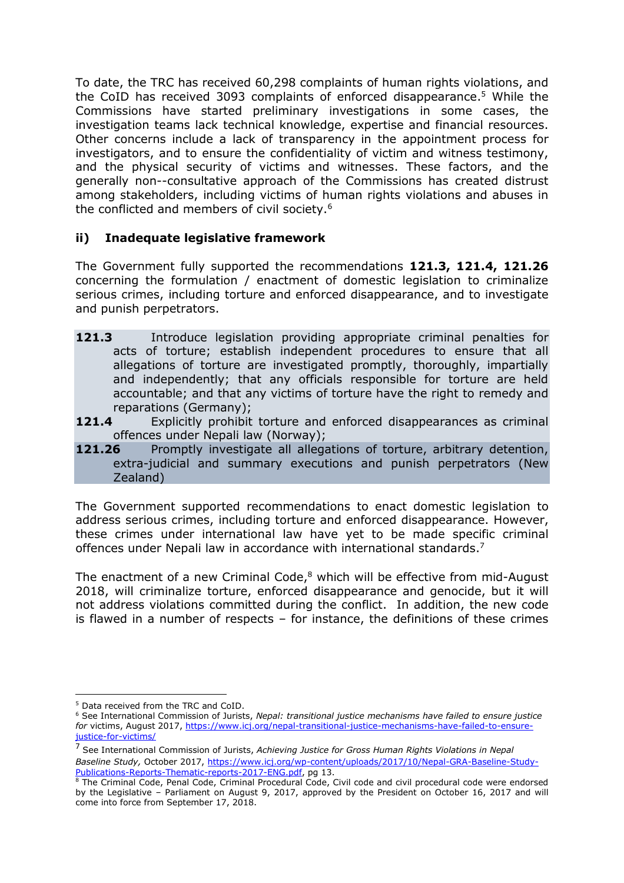To date, the TRC has received 60,298 complaints of human rights violations, and the CoID has received 3093 complaints of enforced disappearance. <sup>5</sup> While the Commissions have started preliminary investigations in some cases, the investigation teams lack technical knowledge, expertise and financial resources. Other concerns include a lack of transparency in the appointment process for investigators, and to ensure the confidentiality of victim and witness testimony, and the physical security of victims and witnesses. These factors, and the generally non--consultative approach of the Commissions has created distrust among stakeholders, including victims of human rights violations and abuses in the conflicted and members of civil society.<sup>6</sup>

# **ii) Inadequate legislative framework**

The Government fully supported the recommendations **121.3, 121.4, 121.26** concerning the formulation / enactment of domestic legislation to criminalize serious crimes, including torture and enforced disappearance, and to investigate and punish perpetrators.

- **121.3** Introduce legislation providing appropriate criminal penalties for acts of torture; establish independent procedures to ensure that all allegations of torture are investigated promptly, thoroughly, impartially and independently; that any officials responsible for torture are held accountable; and that any victims of torture have the right to remedy and reparations (Germany);
- **121.4** Explicitly prohibit torture and enforced disappearances as criminal offences under Nepali law (Norway);
- **121.26** Promptly investigate all allegations of torture, arbitrary detention, extra-judicial and summary executions and punish perpetrators (New Zealand)

The Government supported recommendations to enact domestic legislation to address serious crimes, including torture and enforced disappearance. However, these crimes under international law have yet to be made specific criminal offences under Nepali law in accordance with international standards.<sup>7</sup>

The enactment of a new Criminal Code, $8$  which will be effective from mid-August 2018, will criminalize torture, enforced disappearance and genocide, but it will not address violations committed during the conflict. In addition, the new code is flawed in a number of respects – for instance, the definitions of these crimes

l <sup>5</sup> Data received from the TRC and CoID.

<sup>6</sup> See International Commission of Jurists, *Nepal: transitional justice mechanisms have failed to ensure justice for* victims, August 2017, [https://www.icj.org/nepal-transitional-justice-mechanisms-have-failed-to-ensure](https://www.icj.org/nepal-transitional-justice-mechanisms-have-failed-to-ensure-justice-for-victims/)[justice-for-victims/](https://www.icj.org/nepal-transitional-justice-mechanisms-have-failed-to-ensure-justice-for-victims/)

<sup>7</sup> See International Commission of Jurists, *Achieving Justice for Gross Human Rights Violations in Nepal Baseline Study,* October 2017, [https://www.icj.org/wp-content/uploads/2017/10/Nepal-GRA-Baseline-Study-](https://www.icj.org/wp-content/uploads/2017/10/Nepal-GRA-Baseline-Study-Publications-Reports-Thematic-reports-2017-ENG.pdf)[Publications-Reports-Thematic-reports-2017-ENG.pdf,](https://www.icj.org/wp-content/uploads/2017/10/Nepal-GRA-Baseline-Study-Publications-Reports-Thematic-reports-2017-ENG.pdf) pg 13.

<sup>8</sup> The Criminal Code, Penal Code, Criminal Procedural Code, Civil code and civil procedural code were endorsed by the Legislative – Parliament on August 9, 2017, approved by the President on October 16, 2017 and will come into force from September 17, 2018.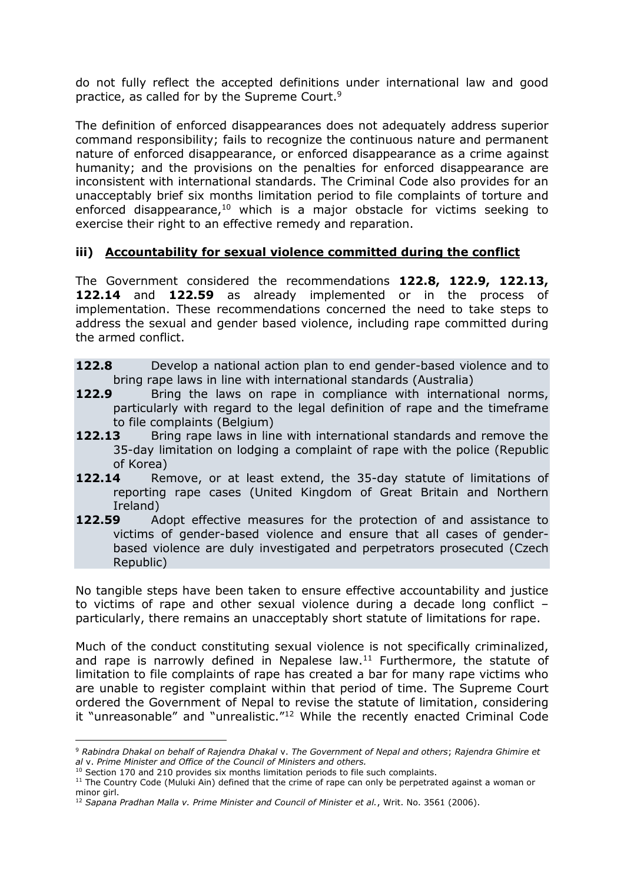do not fully reflect the accepted definitions under international law and good practice, as called for by the Supreme Court.<sup>9</sup>

The definition of enforced disappearances does not adequately address superior command responsibility; fails to recognize the continuous nature and permanent nature of enforced disappearance, or enforced disappearance as a crime against humanity; and the provisions on the penalties for enforced disappearance are inconsistent with international standards. The Criminal Code also provides for an unacceptably brief six months limitation period to file complaints of torture and enforced disappearance, <sup>10</sup> which is a major obstacle for victims seeking to exercise their right to an effective remedy and reparation.

# **iii) Accountability for sexual violence committed during the conflict**

The Government considered the recommendations **122.8, 122.9, 122.13, 122.14** and **122.59** as already implemented or in the process of implementation. These recommendations concerned the need to take steps to address the sexual and gender based violence, including rape committed during the armed conflict.

- **122.8** Develop a national action plan to end gender-based violence and to bring rape laws in line with international standards (Australia)
- **122.9** Bring the laws on rape in compliance with international norms, particularly with regard to the legal definition of rape and the timeframe to file complaints (Belgium)
- **122.13** Bring rape laws in line with international standards and remove the 35-day limitation on lodging a complaint of rape with the police (Republic of Korea)
- **122.14** Remove, or at least extend, the 35-day statute of limitations of reporting rape cases (United Kingdom of Great Britain and Northern Ireland)
- **122.59** •• Adopt effective measures for the protection of and assistance to victims of gender-based violence and ensure that all cases of genderbased violence are duly investigated and perpetrators prosecuted (Czech Republic)

No tangible steps have been taken to ensure effective accountability and justice to victims of rape and other sexual violence during a decade long conflict – particularly, there remains an unacceptably short statute of limitations for rape.

Much of the conduct constituting sexual violence is not specifically criminalized, and rape is narrowly defined in Nepalese  $law<sup>11</sup>$  Furthermore, the statute of limitation to file complaints of rape has created a bar for many rape victims who are unable to register complaint within that period of time. The Supreme Court ordered the Government of Nepal to revise the statute of limitation, considering it "unreasonable" and "unrealistic."<sup>12</sup> While the recently enacted Criminal Code

l

<sup>9</sup> *Rabindra Dhakal on behalf of Rajendra Dhakal* v. *The Government of Nepal and others*; *Rajendra Ghimire et al* v. *Prime Minister and Office of the Council of Ministers and others.*

 $10$  Section 170 and 210 provides six months limitation periods to file such complaints.

 $11$  The Country Code (Muluki Ain) defined that the crime of rape can only be perpetrated against a woman or minor girl.

<sup>&</sup>lt;sup>12</sup> Sapana Pradhan Malla v. Prime Minister and Council of Minister et al., Writ. No. 3561 (2006).